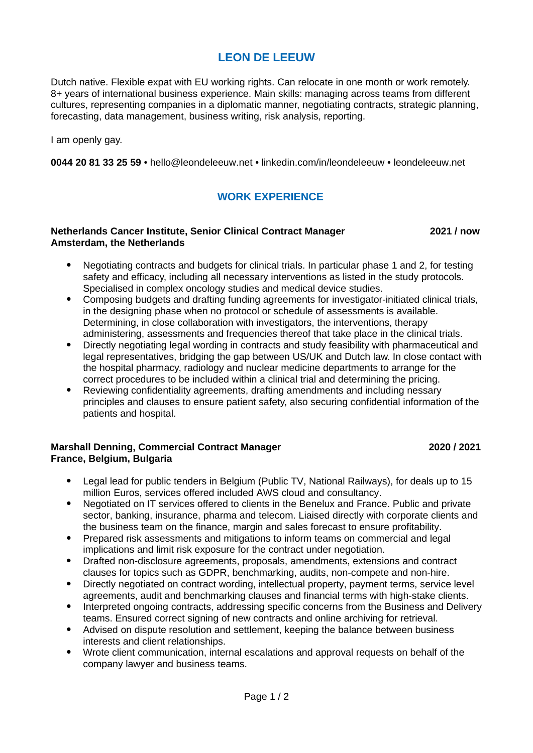# **LEON DE LEEUW**

Dutch native. Flexible expat with EU working rights. Can relocate in one month or work remotely. 8+ years of international business experience. Main skills: managing across teams from different cultures, representing companies in a diplomatic manner, negotiating contracts, strategic planning, forecasting, data management, business writing, risk analysis, reporting.

I am openly gay.

**0044 20 81 33 25 59** • hello@leondeleeuw.net • linkedin.com/in/leondeleeuw • leondeleeuw.net

## **WORK EXPERIENCE**

### **Netherlands Cancer Institute, Senior Clinical Contract Manager 2021 / now Amsterdam, the Netherlands**

- Negotiating contracts and budgets for clinical trials. In particular phase 1 and 2, for testing safety and efficacy, including all necessary interventions as listed in the study protocols. Specialised in complex oncology studies and medical device studies.
- Composing budgets and drafting funding agreements for investigator-initiated clinical trials, in the designing phase when no protocol or schedule of assessments is available. Determining, in close collaboration with investigators, the interventions, therapy administering, assessments and frequencies thereof that take place in the clinical trials.
- Directly negotiating legal wording in contracts and study feasibility with pharmaceutical and legal representatives, bridging the gap between US/UK and Dutch law. In close contact with the hospital pharmacy, radiology and nuclear medicine departments to arrange for the correct procedures to be included within a clinical trial and determining the pricing.
- Reviewing confidentiality agreements, drafting amendments and including nessary principles and clauses to ensure patient safety, also securing confidential information of the patients and hospital.

## **Marshall Denning, Commercial Contract Manager 2020 / 2021 France, Belgium, Bulgaria**

- Legal lead for public tenders in Belgium (Public TV, National Railways), for deals up to 15 million Euros, services offered included AWS cloud and consultancy.
- Negotiated on IT services offered to clients in the Benelux and France. Public and private sector, banking, insurance, pharma and telecom. Liaised directly with corporate clients and the business team on the finance, margin and sales forecast to ensure profitability.
- Prepared risk assessments and mitigations to inform teams on commercial and legal implications and limit risk exposure for the contract under negotiation.
- Drafted non-disclosure agreements, proposals, amendments, extensions and contract clauses for topics such as GDPR, benchmarking, audits, non-compete and non-hire.
- Directly negotiated on contract wording, intellectual property, payment terms, service level agreements, audit and benchmarking clauses and financial terms with high-stake clients.
- Interpreted ongoing contracts, addressing specific concerns from the Business and Delivery teams. Ensured correct signing of new contracts and online archiving for retrieval.
- Advised on dispute resolution and settlement, keeping the balance between business interests and client relationships.
- Wrote client communication, internal escalations and approval requests on behalf of the company lawyer and business teams.